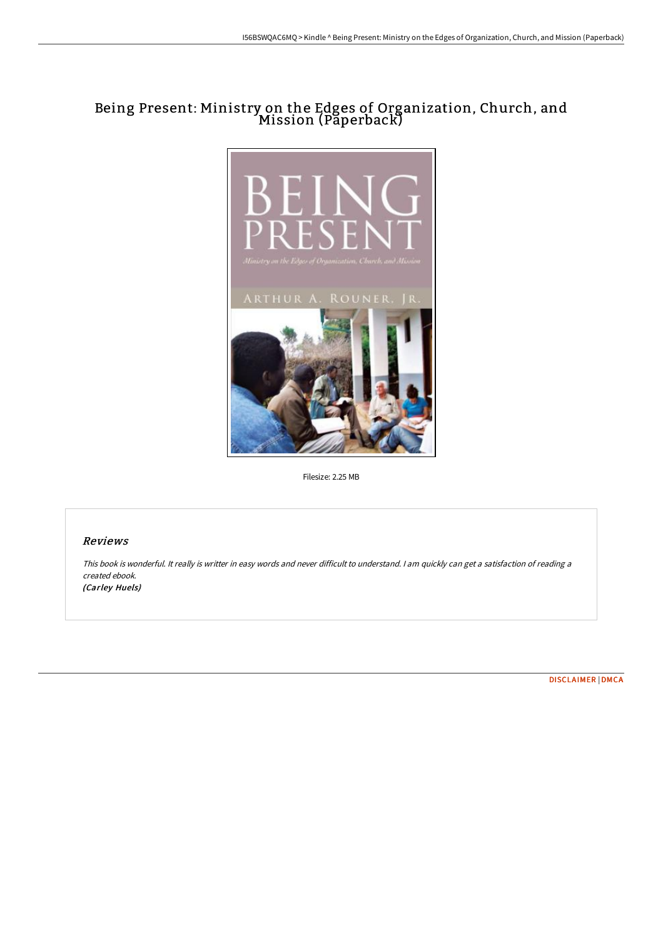# Being Present: Ministry on the Edges of Organization, Church, and Mission (Paperback)



Filesize: 2.25 MB

# Reviews

This book is wonderful. It really is writter in easy words and never difficult to understand. <sup>I</sup> am quickly can get <sup>a</sup> satisfaction of reading <sup>a</sup> created ebook. (Carley Huels)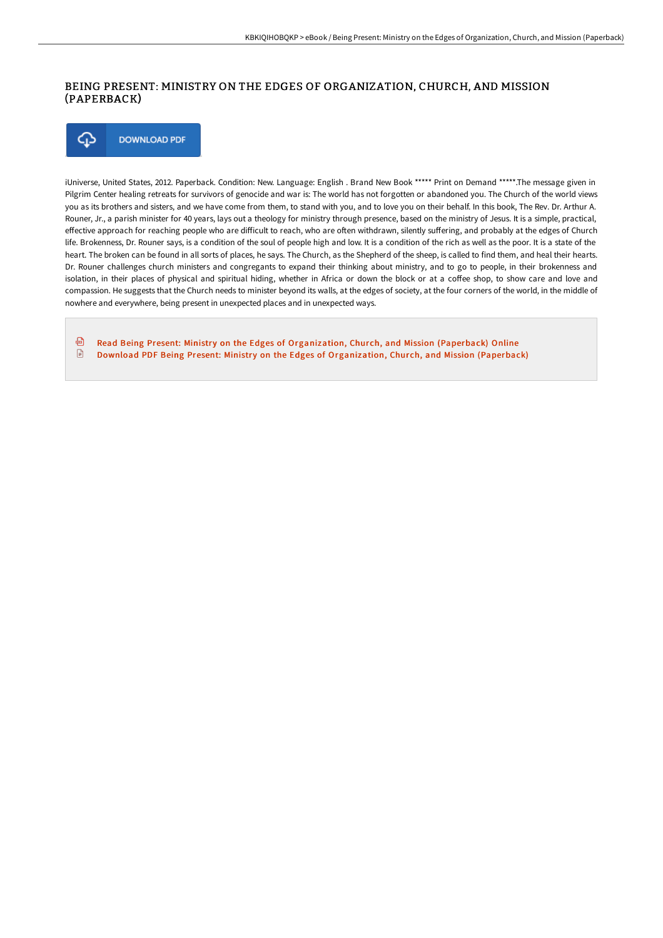## BEING PRESENT: MINISTRY ON THE EDGES OF ORGANIZATION, CHURCH, AND MISSION (PAPERBACK)

⊕ **DOWNLOAD PDF** 

iUniverse, United States, 2012. Paperback. Condition: New. Language: English . Brand New Book \*\*\*\*\* Print on Demand \*\*\*\*\*.The message given in Pilgrim Center healing retreats for survivors of genocide and war is: The world has not forgotten or abandoned you. The Church of the world views you as its brothers and sisters, and we have come from them, to stand with you, and to love you on their behalf. In this book, The Rev. Dr. Arthur A. Rouner, Jr., a parish minister for 40 years, lays out a theology for ministry through presence, based on the ministry of Jesus. It is a simple, practical, effective approach for reaching people who are difficult to reach, who are often withdrawn, silently suffering, and probably at the edges of Church life. Brokenness, Dr. Rouner says, is a condition of the soul of people high and low. It is a condition of the rich as well as the poor. It is a state of the heart. The broken can be found in all sorts of places, he says. The Church, as the Shepherd of the sheep, is called to find them, and heal their hearts. Dr. Rouner challenges church ministers and congregants to expand their thinking about ministry, and to go to people, in their brokenness and isolation, in their places of physical and spiritual hiding, whether in Africa or down the block or at a coffee shop, to show care and love and compassion. He suggests that the Church needs to minister beyond its walls, at the edges of society, at the four corners of the world, in the middle of nowhere and everywhere, being present in unexpected places and in unexpected ways.

品 Read Being Present: Ministry on the Edges of [Organization,](http://www.bookdirs.com/being-present-ministry-on-the-edges-of-organizat.html) Church, and Mission (Paperback) Online  $\begin{array}{c} \square \end{array}$ Download PDF Being Present: Ministry on the Edges of [Organization,](http://www.bookdirs.com/being-present-ministry-on-the-edges-of-organizat.html) Church, and Mission (Paperback)